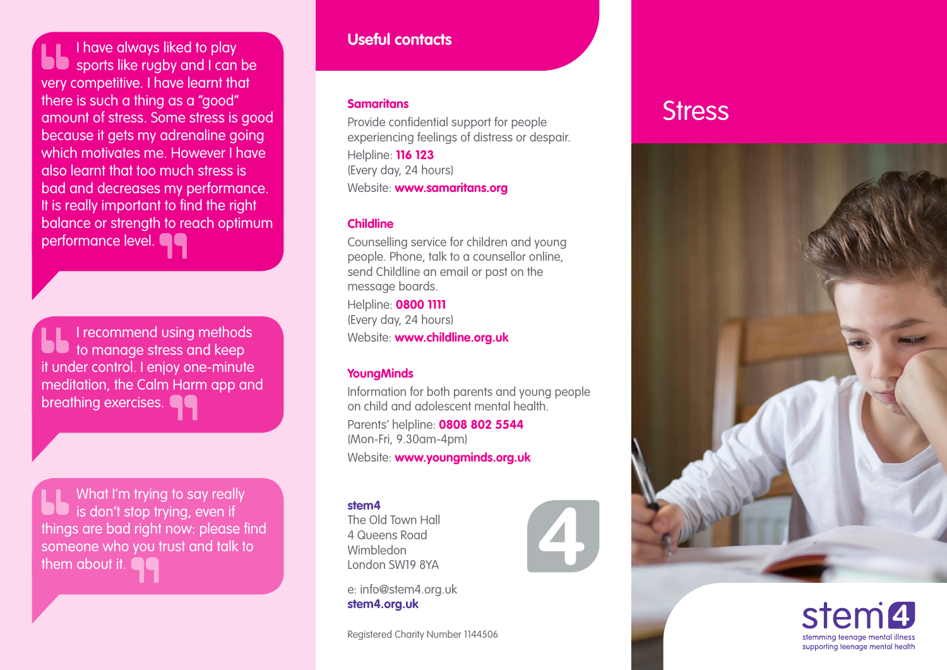I have always liked to play sports like rugby and I can be very competitive. I have learnt that there is such a thing as a "good" amount of stress. Some stress is good because it gets my adrenaline going which motivates me. However I have also learnt that too much stress is bad and decreases my performance. It is really important to find the right balance or strength to reach optimum performance level.

I recommend using methods to manage stress and keep it under control. I enjoy one-minute meditation, the Calm Harm app and breathing exercises.

What I'm trying to say really is don't stop trying, even if things are bad right now: please find someone who you trust and talk to them about it.

## **Useful contacts**

#### **Samaritans**

Provide confidential support for people experiencing feelings of distress or despair. Helpline: **116 123**  (Every day, 24 hours) Website: **[www.samaritans.org](http://www.samaritans.org)**

### **Childline**

Counselling service for children and young people. Phone, talk to a counsellor online, send Childline an email or post on the message boards.

Helpline: **0800 1111** (Every day, 24 hours) Website: **[www.childline.org.uk](http://www.childline.org.uk)**

## **YoungMinds**

Information for both parents and young people on child and adolescent mental health.

Parents' helpline: **0808 802 5544** (Mon-Fri, 9.30am-4pm) Website: **[www.youngminds.org.uk](http://www.youngminds.org.uk)**

#### **stem4**

The Old Town Hall 4 Queens Road Wimbledon London SW19 8YA

e: info@stem4.org.uk **[stem4.org.uk](http://stem4.org.uk)**

Registered Charity Number 1144506